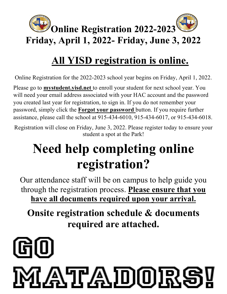

### **All YISD registration is online.**

Online Registration for the 2022-2023 school year begins on Friday, April 1, 2022.

Please go to **mystudent.yisd.net** to enroll your student for next school year. You will need your email address associated with your HAC account and the password you created last year for registration, to sign in. If you do not remember your password, simply click the **Forgot your password** button. If you require further assistance, please call the school at 915-434-6010, 915-434-6017, or 915-434-6018.

Registration will close on Friday, June 3, 2022. Please register today to ensure your student a spot at the Park!

## **Need help completing online registration?**

Our attendance staff will be on campus to help guide you through the registration process. **Please ensure that you have all documents required upon your arrival.**

**Onsite registration schedule & documents required are attached.**

# ATLADOR!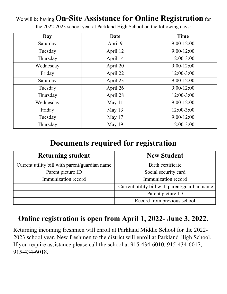#### We will be having **On-Site Assistance for Online Registration** for

the 2022-2023 school year at Parkland High School on the following days:

| Day       | Date     | <b>Time</b>    |
|-----------|----------|----------------|
| Saturday  | April 9  | $9:00-12:00$   |
| Tuesday   | April 12 | $9:00-12:00$   |
| Thursday  | April 14 | $12:00 - 3:00$ |
| Wednesday | April 20 | $9:00 - 12:00$ |
| Friday    | April 22 | $12:00 - 3:00$ |
| Saturday  | April 23 | $9:00 - 12:00$ |
| Tuesday   | April 26 | $9:00 - 12:00$ |
| Thursday  | April 28 | $12:00 - 3:00$ |
| Wednesday | May 11   | $9:00-12:00$   |
| Friday    | May 13   | $12:00 - 3:00$ |
| Tuesday   | May 17   | $9:00-12:00$   |
| Thursday  | May 19   | $12:00-3:00$   |

#### **Documents required for registration**

| <b>Returning student</b>                       | <b>New Student</b>                             |  |
|------------------------------------------------|------------------------------------------------|--|
| Current utility bill with parent/guardian name | Birth certificate                              |  |
| Parent picture ID                              | Social security card                           |  |
| Immunization record                            | Immunization record                            |  |
|                                                | Current utility bill with parent/guardian name |  |
|                                                | Parent picture ID                              |  |
|                                                | Record from previous school                    |  |

#### **Online registration is open from April 1, 2022- June 3, 2022.**

Returning incoming freshmen will enroll at Parkland Middle School for the 2022- 2023 school year. New freshmen to the district will enroll at Parkland High School. If you require assistance please call the school at 915-434-6010, 915-434-6017, 915-434-6018.